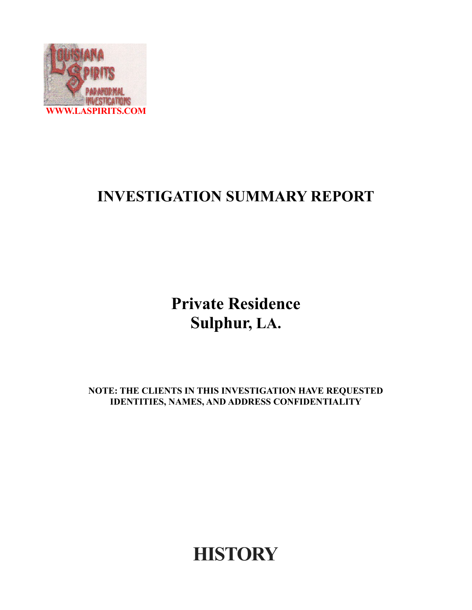

## **INVESTIGATION SUMMARY REPORT**

**Private Residence Sulphur, LA.**

**NOTE: THE CLIENTS IN THIS INVESTIGATION HAVE REQUESTED IDENTITIES, NAMES, AND ADDRESS CONFIDENTIALITY**

**HISTORY**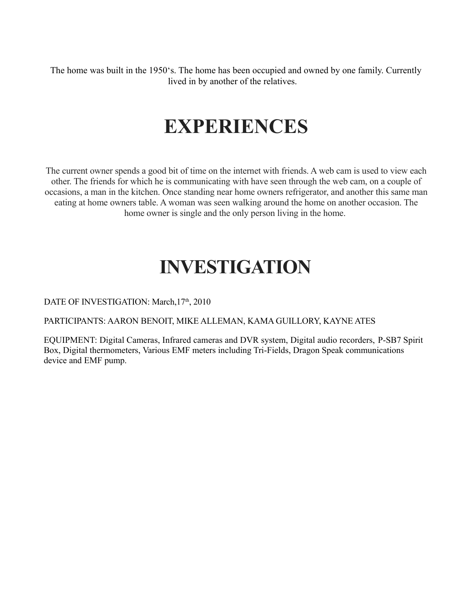The home was built in the 1950's. The home has been occupied and owned by one family. Currently lived in by another of the relatives.

## **EXPERIENCES**

The current owner spends a good bit of time on the internet with friends. A web cam is used to view each other. The friends for which he is communicating with have seen through the web cam, on a couple of occasions, a man in the kitchen. Once standing near home owners refrigerator, and another this same man eating at home owners table. A woman was seen walking around the home on another occasion. The home owner is single and the only person living in the home.

## **INVESTIGATION**

DATE OF INVESTIGATION: March, 17<sup>th</sup>, 2010

PARTICIPANTS: AARON BENOIT, MIKE ALLEMAN, KAMA GUILLORY, KAYNE ATES

EQUIPMENT: Digital Cameras, Infrared cameras and DVR system, Digital audio recorders, P-SB7 Spirit Box, Digital thermometers, Various EMF meters including Tri-Fields, Dragon Speak communications device and EMF pump.